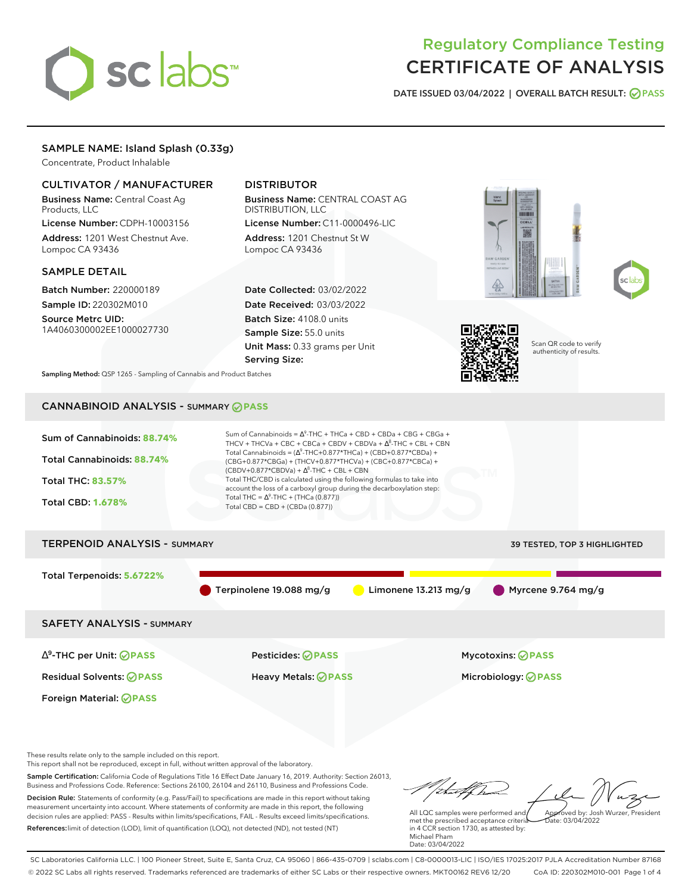# sc abs

# Regulatory Compliance Testing CERTIFICATE OF ANALYSIS

**DATE ISSUED 03/04/2022 | OVERALL BATCH RESULT: PASS**

# SAMPLE NAME: Island Splash (0.33g)

Concentrate, Product Inhalable

## CULTIVATOR / MANUFACTURER

Business Name: Central Coast Ag Products, LLC License Number: CDPH-10003156

Address: 1201 West Chestnut Ave. Lompoc CA 93436

#### SAMPLE DETAIL

Batch Number: 220000189 Sample ID: 220302M010

Source Metrc UID: 1A4060300002EE1000027730

# DISTRIBUTOR

Business Name: CENTRAL COAST AG DISTRIBUTION, LLC License Number: C11-0000496-LIC

Address: 1201 Chestnut St W Lompoc CA 93436

Date Collected: 03/02/2022 Date Received: 03/03/2022 Batch Size: 4108.0 units Sample Size: 55.0 units Unit Mass: 0.33 grams per Unit Serving Size:







Scan QR code to verify authenticity of results.

**Sampling Method:** QSP 1265 - Sampling of Cannabis and Product Batches

# CANNABINOID ANALYSIS - SUMMARY **PASS**



This report shall not be reproduced, except in full, without written approval of the laboratory.

Sample Certification: California Code of Regulations Title 16 Effect Date January 16, 2019. Authority: Section 26013, Business and Professions Code. Reference: Sections 26100, 26104 and 26110, Business and Professions Code. Decision Rule: Statements of conformity (e.g. Pass/Fail) to specifications are made in this report without taking measurement uncertainty into account. Where statements of conformity are made in this report, the following decision rules are applied: PASS - Results within limits/specifications, FAIL - Results exceed limits/specifications.

References:limit of detection (LOD), limit of quantification (LOQ), not detected (ND), not tested (NT)

tu#f h Approved by: Josh Wurzer, President

 $\frac{1}{2}$  03/04/2022

All LQC samples were performed and met the prescribed acceptance criteria in 4 CCR section 1730, as attested by: Michael Pham Date: 03/04/2022

SC Laboratories California LLC. | 100 Pioneer Street, Suite E, Santa Cruz, CA 95060 | 866-435-0709 | sclabs.com | C8-0000013-LIC | ISO/IES 17025:2017 PJLA Accreditation Number 87168 © 2022 SC Labs all rights reserved. Trademarks referenced are trademarks of either SC Labs or their respective owners. MKT00162 REV6 12/20 CoA ID: 220302M010-001 Page 1 of 4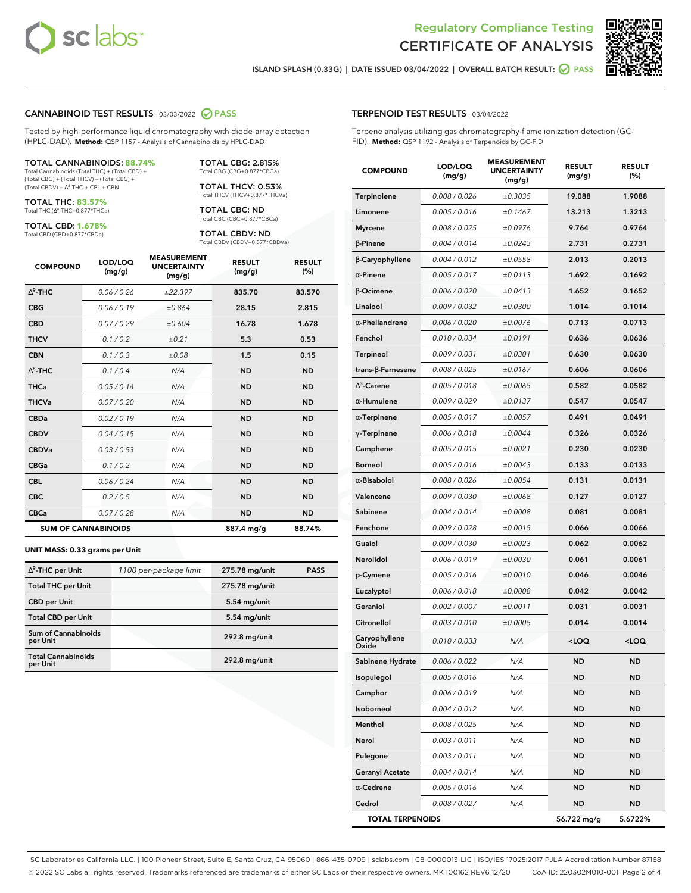



**ISLAND SPLASH (0.33G) | DATE ISSUED 03/04/2022 | OVERALL BATCH RESULT: PASS**

#### **CANNABINOID TEST RESULTS** - 03/03/2022 **PASS**

Tested by high-performance liquid chromatography with diode-array detection (HPLC-DAD). **Method:** QSP 1157 - Analysis of Cannabinoids by HPLC-DAD

#### TOTAL CANNABINOIDS: **88.74%**

Total Cannabinoids (Total THC) + (Total CBD) + (Total CBG) + (Total THCV) + (Total CBC) +  $(Total CBDV) +  $\Delta^8$ -THC + CBL + CBN$ 

TOTAL THC: **83.57%** Total THC (Ƽ-THC+0.877\*THCa)

TOTAL CBD: **1.678%**

Total CBD (CBD+0.877\*CBDa)

TOTAL CBG: 2.815% Total CBG (CBG+0.877\*CBGa)

TOTAL THCV: 0.53% Total THCV (THCV+0.877\*THCVa)

TOTAL CBC: ND Total CBC (CBC+0.877\*CBCa)

TOTAL CBDV: ND Total CBDV (CBDV+0.877\*CBDVa)

| <b>COMPOUND</b>  | LOD/LOQ<br>(mg/g)          | <b>MEASUREMENT</b><br><b>UNCERTAINTY</b><br>(mg/g) | <b>RESULT</b><br>(mg/g) | <b>RESULT</b><br>(%) |
|------------------|----------------------------|----------------------------------------------------|-------------------------|----------------------|
| $\Lambda^9$ -THC | 0.06 / 0.26                | ±22.397                                            | 835.70                  | 83.570               |
| <b>CBG</b>       | 0.06/0.19                  | ±0.864                                             | 28.15                   | 2.815                |
| <b>CBD</b>       | 0.07/0.29                  | ±0.604                                             | 16.78                   | 1.678                |
| <b>THCV</b>      | 0.1/0.2                    | ±0.21                                              | 5.3                     | 0.53                 |
| <b>CBN</b>       | 0.1/0.3                    | ±0.08                                              | 1.5                     | 0.15                 |
| $\Delta^8$ -THC  | 0.1/0.4                    | N/A                                                | <b>ND</b>               | <b>ND</b>            |
| <b>THCa</b>      | 0.05/0.14                  | N/A                                                | <b>ND</b>               | <b>ND</b>            |
| <b>THCVa</b>     | 0.07 / 0.20                | N/A                                                | <b>ND</b>               | <b>ND</b>            |
| <b>CBDa</b>      | 0.02/0.19                  | N/A                                                | <b>ND</b>               | <b>ND</b>            |
| <b>CBDV</b>      | 0.04 / 0.15                | N/A                                                | <b>ND</b>               | <b>ND</b>            |
| <b>CBDVa</b>     | 0.03/0.53                  | N/A                                                | <b>ND</b>               | <b>ND</b>            |
| <b>CBGa</b>      | 0.1 / 0.2                  | N/A                                                | <b>ND</b>               | <b>ND</b>            |
| <b>CBL</b>       | 0.06 / 0.24                | N/A                                                | <b>ND</b>               | <b>ND</b>            |
| <b>CBC</b>       | 0.2 / 0.5                  | N/A                                                | <b>ND</b>               | <b>ND</b>            |
| <b>CBCa</b>      | 0.07 / 0.28                | N/A                                                | <b>ND</b>               | <b>ND</b>            |
|                  | <b>SUM OF CANNABINOIDS</b> |                                                    | 887.4 mg/g              | 88.74%               |

#### **UNIT MASS: 0.33 grams per Unit**

| $\Delta^9$ -THC per Unit               | 1100 per-package limit | 275.78 mg/unit | <b>PASS</b> |
|----------------------------------------|------------------------|----------------|-------------|
| <b>Total THC per Unit</b>              |                        | 275.78 mg/unit |             |
| <b>CBD</b> per Unit                    |                        | $5.54$ mg/unit |             |
| <b>Total CBD per Unit</b>              |                        | 5.54 mg/unit   |             |
| <b>Sum of Cannabinoids</b><br>per Unit |                        | 292.8 mg/unit  |             |
| <b>Total Cannabinoids</b><br>per Unit  |                        | 292.8 mg/unit  |             |

| <b>COMPOUND</b>           | LOD/LOQ<br>(mg/g) | ASUREIV<br><b>UNCERTAINTY</b><br>(mg/g) | <b>RESULT</b><br>(mg/g)                         | <b>RESULT</b><br>$(\%)$ |
|---------------------------|-------------------|-----------------------------------------|-------------------------------------------------|-------------------------|
| Terpinolene               | 0.008 / 0.026     | ±0.3035                                 | 19.088                                          | 1.9088                  |
| Limonene                  | 0.005 / 0.016     | ±0.1467                                 | 13.213                                          | 1.3213                  |
| <b>Myrcene</b>            | 0.008 / 0.025     | ±0.0976                                 | 9.764                                           | 0.9764                  |
| $\beta$ -Pinene           | 0.004 / 0.014     | ±0.0243                                 | 2.731                                           | 0.2731                  |
| β-Caryophyllene           | 0.004 / 0.012     | ±0.0558                                 | 2.013                                           | 0.2013                  |
| $\alpha$ -Pinene          | 0.005 / 0.017     | ±0.0113                                 | 1.692                                           | 0.1692                  |
| <b>B-Ocimene</b>          | 0.006 / 0.020     | ±0.0413                                 | 1.652                                           | 0.1652                  |
| Linalool                  | 0.009 / 0.032     | ±0.0300                                 | 1.014                                           | 0.1014                  |
| $\alpha$ -Phellandrene    | 0.006 / 0.020     | ±0.0076                                 | 0.713                                           | 0.0713                  |
| Fenchol                   | 0.010 / 0.034     | ±0.0191                                 | 0.636                                           | 0.0636                  |
| <b>Terpineol</b>          | 0.009 / 0.031     | ±0.0301                                 | 0.630                                           | 0.0630                  |
| trans- $\beta$ -Farnesene | 0.008 / 0.025     | ±0.0167                                 | 0.606                                           | 0.0606                  |
| $\Delta^3$ -Carene        | 0.005 / 0.018     | ±0.0065                                 | 0.582                                           | 0.0582                  |
| α-Humulene                | 0.009/0.029       | ±0.0137                                 | 0.547                                           | 0.0547                  |
| $\alpha$ -Terpinene       | 0.005 / 0.017     | ±0.0057                                 | 0.491                                           | 0.0491                  |
| $\gamma$ -Terpinene       | 0.006 / 0.018     | ±0.0044                                 | 0.326                                           | 0.0326                  |
| Camphene                  | 0.005 / 0.015     | ±0.0021                                 | 0.230                                           | 0.0230                  |
| <b>Borneol</b>            | 0.005 / 0.016     | ±0.0043                                 | 0.133                                           | 0.0133                  |
| $\alpha$ -Bisabolol       | 0.008 / 0.026     | ±0.0054                                 | 0.131                                           | 0.0131                  |
| Valencene                 | 0.009 / 0.030     | ±0.0068                                 | 0.127                                           | 0.0127                  |
| Sabinene                  | 0.004 / 0.014     | ±0.0008                                 | 0.081                                           | 0.0081                  |
| Fenchone                  | 0.009 / 0.028     | ±0.0015                                 | 0.066                                           | 0.0066                  |
| Guaiol                    | 0.009 / 0.030     | ±0.0023                                 | 0.062                                           | 0.0062                  |
| Nerolidol                 | 0.006 / 0.019     | ±0.0030                                 | 0.061                                           | 0.0061                  |
| p-Cymene                  | 0.005 / 0.016     | ±0.0010                                 | 0.046                                           | 0.0046                  |
| Eucalyptol                | 0.006 / 0.018     | ±0.0008                                 | 0.042                                           | 0.0042                  |
| Geraniol                  | 0.002 / 0.007     | ±0.0011                                 | 0.031                                           | 0.0031                  |
| Citronellol               | 0.003 / 0.010     | ±0.0005                                 | 0.014                                           | 0.0014                  |
| Caryophyllene<br>Oxide    | 0.010 / 0.033     | N/A                                     | <loq< th=""><th><loq< th=""></loq<></th></loq<> | <loq< th=""></loq<>     |
| Sabinene Hydrate          | 0.006 / 0.022     | N/A                                     | <b>ND</b>                                       | <b>ND</b>               |
| Isopulegol                | 0.005 / 0.016     | N/A                                     | ND                                              | ND                      |
| Camphor                   | 0.006 / 0.019     | N/A                                     | ND                                              | ND                      |
| Isoborneol                | 0.004 / 0.012     | N/A                                     | ND                                              | ND                      |
| Menthol                   | 0.008 / 0.025     | N/A                                     | ND                                              | ND                      |
| Nerol                     | 0.003 / 0.011     | N/A                                     | ND                                              | ND                      |
| Pulegone                  | 0.003 / 0.011     | N/A                                     | ND                                              | ND                      |
| <b>Geranyl Acetate</b>    | 0.004 / 0.014     | N/A                                     | ND                                              | ND                      |
| $\alpha$ -Cedrene         | 0.005 / 0.016     | N/A                                     | ND                                              | ND                      |
| Cedrol                    | 0.008 / 0.027     | N/A                                     | ND                                              | ND                      |
| <b>TOTAL TERPENOIDS</b>   |                   |                                         | 56.722 mg/g                                     | 5.6722%                 |

SC Laboratories California LLC. | 100 Pioneer Street, Suite E, Santa Cruz, CA 95060 | 866-435-0709 | sclabs.com | C8-0000013-LIC | ISO/IES 17025:2017 PJLA Accreditation Number 87168 © 2022 SC Labs all rights reserved. Trademarks referenced are trademarks of either SC Labs or their respective owners. MKT00162 REV6 12/20 CoA ID: 220302M010-001 Page 2 of 4

#### **TERPENOID TEST RESULTS** - 03/04/2022

Terpene analysis utilizing gas chromatography-flame ionization detection (GC-FID). **Method:** QSP 1192 - Analysis of Terpenoids by GC-FID

**MEASUREMENT**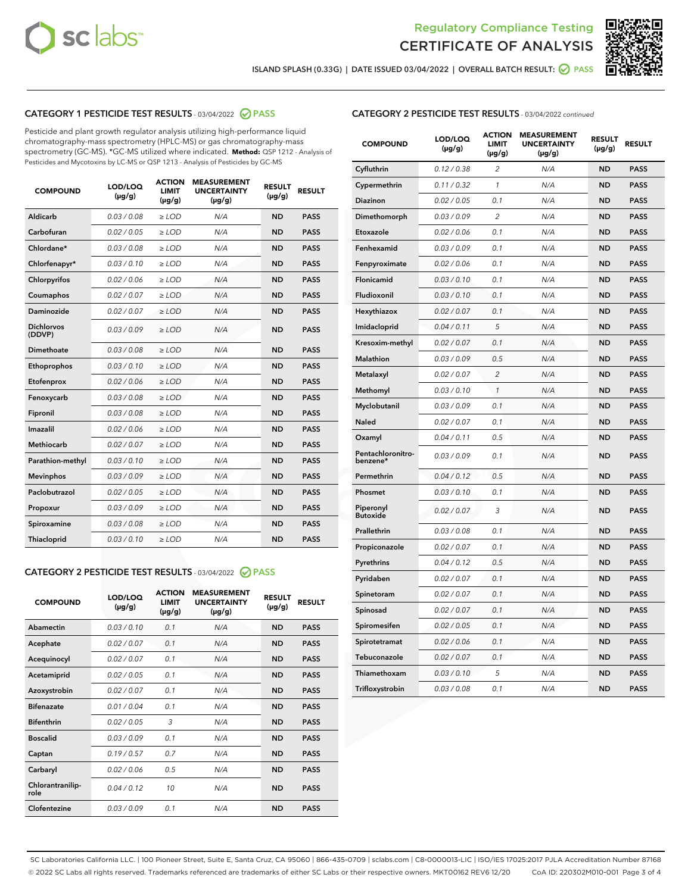



**ISLAND SPLASH (0.33G) | DATE ISSUED 03/04/2022 | OVERALL BATCH RESULT: PASS**

# **CATEGORY 1 PESTICIDE TEST RESULTS** - 03/04/2022 **PASS**

Pesticide and plant growth regulator analysis utilizing high-performance liquid chromatography-mass spectrometry (HPLC-MS) or gas chromatography-mass spectrometry (GC-MS). \*GC-MS utilized where indicated. **Method:** QSP 1212 - Analysis of Pesticides and Mycotoxins by LC-MS or QSP 1213 - Analysis of Pesticides by GC-MS

| 0.03 / 0.08<br><b>ND</b><br>Aldicarb<br>$\ge$ LOD<br>N/A<br><b>PASS</b><br>Carbofuran<br>0.02 / 0.05<br>$>$ LOD<br>N/A<br><b>ND</b><br><b>PASS</b><br>Chlordane*<br>0.03 / 0.08<br>N/A<br><b>ND</b><br><b>PASS</b><br>$\geq$ LOD<br>Chlorfenapyr*<br>0.03/0.10<br>N/A<br><b>ND</b><br><b>PASS</b><br>$\geq$ LOD<br>N/A<br><b>ND</b><br><b>PASS</b><br>Chlorpyrifos<br>0.02/0.06<br>$>$ LOD<br>0.02 / 0.07<br><b>PASS</b><br>Coumaphos<br>$\ge$ LOD<br>N/A<br><b>ND</b><br>Daminozide<br>0.02 / 0.07<br>N/A<br><b>PASS</b><br>$\ge$ LOD<br><b>ND</b><br><b>Dichlorvos</b><br>0.03/0.09<br>N/A<br>$\ge$ LOD<br><b>ND</b><br><b>PASS</b><br>(DDVP)<br>0.03 / 0.08<br><b>ND</b><br>Dimethoate<br>$>$ LOD<br>N/A<br><b>PASS</b><br>0.03/0.10<br><b>ND</b><br><b>PASS</b><br>Ethoprophos<br>$>$ LOD<br>N/A<br>0.02 / 0.06<br>N/A<br><b>ND</b><br><b>PASS</b><br>Etofenprox<br>$\ge$ LOD<br>0.03 / 0.08<br>N/A<br><b>ND</b><br><b>PASS</b><br>Fenoxycarb<br>$\ge$ LOD<br>0.03 / 0.08<br><b>ND</b><br><b>PASS</b><br>Fipronil<br>$\ge$ LOD<br>N/A<br>Imazalil<br>0.02 / 0.06<br>N/A<br><b>ND</b><br>$\ge$ LOD<br><b>PASS</b><br><b>Methiocarb</b><br>0.02 / 0.07<br>$\ge$ LOD<br>N/A<br><b>ND</b><br><b>PASS</b><br>Parathion-methyl<br>0.03/0.10<br>$>$ LOD<br>N/A<br><b>ND</b><br><b>PASS</b><br>0.03/0.09<br>N/A<br><b>ND</b><br><b>PASS</b><br><b>Mevinphos</b><br>$\ge$ LOD<br>Paclobutrazol<br>0.02 / 0.05<br>N/A<br><b>ND</b><br><b>PASS</b><br>$\ge$ LOD<br>0.03/0.09<br>$>$ LOD<br>N/A<br><b>ND</b><br><b>PASS</b><br>Propoxur<br>0.03 / 0.08<br>$\ge$ LOD<br>N/A<br><b>ND</b><br><b>PASS</b><br>Spiroxamine<br>0.03/0.10<br>N/A<br><b>ND</b><br><b>PASS</b><br>Thiacloprid<br>$\ge$ LOD | <b>COMPOUND</b> | LOD/LOQ<br>$(\mu g/g)$ | <b>ACTION</b><br><b>LIMIT</b><br>$(\mu g/g)$ | <b>MEASUREMENT</b><br><b>UNCERTAINTY</b><br>$(\mu g/g)$ | <b>RESULT</b><br>$(\mu g/g)$ | <b>RESULT</b> |
|-------------------------------------------------------------------------------------------------------------------------------------------------------------------------------------------------------------------------------------------------------------------------------------------------------------------------------------------------------------------------------------------------------------------------------------------------------------------------------------------------------------------------------------------------------------------------------------------------------------------------------------------------------------------------------------------------------------------------------------------------------------------------------------------------------------------------------------------------------------------------------------------------------------------------------------------------------------------------------------------------------------------------------------------------------------------------------------------------------------------------------------------------------------------------------------------------------------------------------------------------------------------------------------------------------------------------------------------------------------------------------------------------------------------------------------------------------------------------------------------------------------------------------------------------------------------------------------------------------------------------------------------------------------------------------------------|-----------------|------------------------|----------------------------------------------|---------------------------------------------------------|------------------------------|---------------|
|                                                                                                                                                                                                                                                                                                                                                                                                                                                                                                                                                                                                                                                                                                                                                                                                                                                                                                                                                                                                                                                                                                                                                                                                                                                                                                                                                                                                                                                                                                                                                                                                                                                                                           |                 |                        |                                              |                                                         |                              |               |
|                                                                                                                                                                                                                                                                                                                                                                                                                                                                                                                                                                                                                                                                                                                                                                                                                                                                                                                                                                                                                                                                                                                                                                                                                                                                                                                                                                                                                                                                                                                                                                                                                                                                                           |                 |                        |                                              |                                                         |                              |               |
|                                                                                                                                                                                                                                                                                                                                                                                                                                                                                                                                                                                                                                                                                                                                                                                                                                                                                                                                                                                                                                                                                                                                                                                                                                                                                                                                                                                                                                                                                                                                                                                                                                                                                           |                 |                        |                                              |                                                         |                              |               |
|                                                                                                                                                                                                                                                                                                                                                                                                                                                                                                                                                                                                                                                                                                                                                                                                                                                                                                                                                                                                                                                                                                                                                                                                                                                                                                                                                                                                                                                                                                                                                                                                                                                                                           |                 |                        |                                              |                                                         |                              |               |
|                                                                                                                                                                                                                                                                                                                                                                                                                                                                                                                                                                                                                                                                                                                                                                                                                                                                                                                                                                                                                                                                                                                                                                                                                                                                                                                                                                                                                                                                                                                                                                                                                                                                                           |                 |                        |                                              |                                                         |                              |               |
|                                                                                                                                                                                                                                                                                                                                                                                                                                                                                                                                                                                                                                                                                                                                                                                                                                                                                                                                                                                                                                                                                                                                                                                                                                                                                                                                                                                                                                                                                                                                                                                                                                                                                           |                 |                        |                                              |                                                         |                              |               |
|                                                                                                                                                                                                                                                                                                                                                                                                                                                                                                                                                                                                                                                                                                                                                                                                                                                                                                                                                                                                                                                                                                                                                                                                                                                                                                                                                                                                                                                                                                                                                                                                                                                                                           |                 |                        |                                              |                                                         |                              |               |
|                                                                                                                                                                                                                                                                                                                                                                                                                                                                                                                                                                                                                                                                                                                                                                                                                                                                                                                                                                                                                                                                                                                                                                                                                                                                                                                                                                                                                                                                                                                                                                                                                                                                                           |                 |                        |                                              |                                                         |                              |               |
|                                                                                                                                                                                                                                                                                                                                                                                                                                                                                                                                                                                                                                                                                                                                                                                                                                                                                                                                                                                                                                                                                                                                                                                                                                                                                                                                                                                                                                                                                                                                                                                                                                                                                           |                 |                        |                                              |                                                         |                              |               |
|                                                                                                                                                                                                                                                                                                                                                                                                                                                                                                                                                                                                                                                                                                                                                                                                                                                                                                                                                                                                                                                                                                                                                                                                                                                                                                                                                                                                                                                                                                                                                                                                                                                                                           |                 |                        |                                              |                                                         |                              |               |
|                                                                                                                                                                                                                                                                                                                                                                                                                                                                                                                                                                                                                                                                                                                                                                                                                                                                                                                                                                                                                                                                                                                                                                                                                                                                                                                                                                                                                                                                                                                                                                                                                                                                                           |                 |                        |                                              |                                                         |                              |               |
|                                                                                                                                                                                                                                                                                                                                                                                                                                                                                                                                                                                                                                                                                                                                                                                                                                                                                                                                                                                                                                                                                                                                                                                                                                                                                                                                                                                                                                                                                                                                                                                                                                                                                           |                 |                        |                                              |                                                         |                              |               |
|                                                                                                                                                                                                                                                                                                                                                                                                                                                                                                                                                                                                                                                                                                                                                                                                                                                                                                                                                                                                                                                                                                                                                                                                                                                                                                                                                                                                                                                                                                                                                                                                                                                                                           |                 |                        |                                              |                                                         |                              |               |
|                                                                                                                                                                                                                                                                                                                                                                                                                                                                                                                                                                                                                                                                                                                                                                                                                                                                                                                                                                                                                                                                                                                                                                                                                                                                                                                                                                                                                                                                                                                                                                                                                                                                                           |                 |                        |                                              |                                                         |                              |               |
|                                                                                                                                                                                                                                                                                                                                                                                                                                                                                                                                                                                                                                                                                                                                                                                                                                                                                                                                                                                                                                                                                                                                                                                                                                                                                                                                                                                                                                                                                                                                                                                                                                                                                           |                 |                        |                                              |                                                         |                              |               |
|                                                                                                                                                                                                                                                                                                                                                                                                                                                                                                                                                                                                                                                                                                                                                                                                                                                                                                                                                                                                                                                                                                                                                                                                                                                                                                                                                                                                                                                                                                                                                                                                                                                                                           |                 |                        |                                              |                                                         |                              |               |
|                                                                                                                                                                                                                                                                                                                                                                                                                                                                                                                                                                                                                                                                                                                                                                                                                                                                                                                                                                                                                                                                                                                                                                                                                                                                                                                                                                                                                                                                                                                                                                                                                                                                                           |                 |                        |                                              |                                                         |                              |               |
|                                                                                                                                                                                                                                                                                                                                                                                                                                                                                                                                                                                                                                                                                                                                                                                                                                                                                                                                                                                                                                                                                                                                                                                                                                                                                                                                                                                                                                                                                                                                                                                                                                                                                           |                 |                        |                                              |                                                         |                              |               |
|                                                                                                                                                                                                                                                                                                                                                                                                                                                                                                                                                                                                                                                                                                                                                                                                                                                                                                                                                                                                                                                                                                                                                                                                                                                                                                                                                                                                                                                                                                                                                                                                                                                                                           |                 |                        |                                              |                                                         |                              |               |
|                                                                                                                                                                                                                                                                                                                                                                                                                                                                                                                                                                                                                                                                                                                                                                                                                                                                                                                                                                                                                                                                                                                                                                                                                                                                                                                                                                                                                                                                                                                                                                                                                                                                                           |                 |                        |                                              |                                                         |                              |               |
|                                                                                                                                                                                                                                                                                                                                                                                                                                                                                                                                                                                                                                                                                                                                                                                                                                                                                                                                                                                                                                                                                                                                                                                                                                                                                                                                                                                                                                                                                                                                                                                                                                                                                           |                 |                        |                                              |                                                         |                              |               |

# **CATEGORY 2 PESTICIDE TEST RESULTS** - 03/04/2022 **PASS**

| <b>COMPOUND</b>          | LOD/LOO<br>$(\mu g/g)$ | <b>ACTION</b><br><b>LIMIT</b><br>$(\mu g/g)$ | <b>MEASUREMENT</b><br><b>UNCERTAINTY</b><br>$(\mu g/g)$ | <b>RESULT</b><br>$(\mu g/g)$ | <b>RESULT</b> |
|--------------------------|------------------------|----------------------------------------------|---------------------------------------------------------|------------------------------|---------------|
| Abamectin                | 0.03/0.10              | 0.1                                          | N/A                                                     | <b>ND</b>                    | <b>PASS</b>   |
| Acephate                 | 0.02 / 0.07            | 0.1                                          | N/A                                                     | <b>ND</b>                    | <b>PASS</b>   |
| Acequinocyl              | 0.02/0.07              | 0.1                                          | N/A                                                     | <b>ND</b>                    | <b>PASS</b>   |
| Acetamiprid              | 0.02/0.05              | 0.1                                          | N/A                                                     | <b>ND</b>                    | <b>PASS</b>   |
| Azoxystrobin             | 0.02 / 0.07            | 0.1                                          | N/A                                                     | <b>ND</b>                    | <b>PASS</b>   |
| <b>Bifenazate</b>        | 0.01/0.04              | 0.1                                          | N/A                                                     | <b>ND</b>                    | <b>PASS</b>   |
| <b>Bifenthrin</b>        | 0.02/0.05              | 3                                            | N/A                                                     | <b>ND</b>                    | <b>PASS</b>   |
| <b>Boscalid</b>          | 0.03/0.09              | 0.1                                          | N/A                                                     | <b>ND</b>                    | <b>PASS</b>   |
| Captan                   | 0.19/0.57              | 0.7                                          | N/A                                                     | <b>ND</b>                    | <b>PASS</b>   |
| Carbaryl                 | 0.02/0.06              | 0.5                                          | N/A                                                     | <b>ND</b>                    | <b>PASS</b>   |
| Chlorantranilip-<br>role | 0.04/0.12              | 10                                           | N/A                                                     | <b>ND</b>                    | <b>PASS</b>   |
| Clofentezine             | 0.03/0.09              | 0.1                                          | N/A                                                     | <b>ND</b>                    | <b>PASS</b>   |

#### **CATEGORY 2 PESTICIDE TEST RESULTS** - 03/04/2022 continued

| <b>COMPOUND</b>               | LOD/LOQ<br>(µg/g) | <b>ACTION</b><br>LIMIT<br>(µg/g) | <b>MEASUREMENT</b><br><b>UNCERTAINTY</b><br>$(\mu g/g)$ | <b>RESULT</b><br>$(\mu g/g)$ | <b>RESULT</b> |
|-------------------------------|-------------------|----------------------------------|---------------------------------------------------------|------------------------------|---------------|
| Cyfluthrin                    | 0.12 / 0.38       | 2                                | N/A                                                     | <b>ND</b>                    | <b>PASS</b>   |
| Cypermethrin                  | 0.11 / 0.32       | 1                                | N/A                                                     | <b>ND</b>                    | <b>PASS</b>   |
| <b>Diazinon</b>               | 0.02 / 0.05       | 0.1                              | N/A                                                     | <b>ND</b>                    | <b>PASS</b>   |
| Dimethomorph                  | 0.03 / 0.09       | 2                                | N/A                                                     | <b>ND</b>                    | <b>PASS</b>   |
| Etoxazole                     | 0.02 / 0.06       | 0.1                              | N/A                                                     | <b>ND</b>                    | <b>PASS</b>   |
| Fenhexamid                    | 0.03 / 0.09       | 0.1                              | N/A                                                     | <b>ND</b>                    | <b>PASS</b>   |
| Fenpyroximate                 | 0.02 / 0.06       | 0.1                              | N/A                                                     | <b>ND</b>                    | <b>PASS</b>   |
| Flonicamid                    | 0.03 / 0.10       | 0.1                              | N/A                                                     | <b>ND</b>                    | <b>PASS</b>   |
| Fludioxonil                   | 0.03 / 0.10       | 0.1                              | N/A                                                     | <b>ND</b>                    | <b>PASS</b>   |
| Hexythiazox                   | 0.02 / 0.07       | 0.1                              | N/A                                                     | <b>ND</b>                    | <b>PASS</b>   |
| Imidacloprid                  | 0.04 / 0.11       | 5                                | N/A                                                     | <b>ND</b>                    | <b>PASS</b>   |
| Kresoxim-methyl               | 0.02 / 0.07       | 0.1                              | N/A                                                     | <b>ND</b>                    | <b>PASS</b>   |
| <b>Malathion</b>              | 0.03 / 0.09       | 0.5                              | N/A                                                     | <b>ND</b>                    | <b>PASS</b>   |
| Metalaxyl                     | 0.02 / 0.07       | $\overline{c}$                   | N/A                                                     | <b>ND</b>                    | <b>PASS</b>   |
| Methomyl                      | 0.03 / 0.10       | 1                                | N/A                                                     | <b>ND</b>                    | <b>PASS</b>   |
| Myclobutanil                  | 0.03/0.09         | 0.1                              | N/A                                                     | <b>ND</b>                    | <b>PASS</b>   |
| Naled                         | 0.02 / 0.07       | 0.1                              | N/A                                                     | <b>ND</b>                    | <b>PASS</b>   |
| Oxamyl                        | 0.04 / 0.11       | 0.5                              | N/A                                                     | <b>ND</b>                    | <b>PASS</b>   |
| Pentachloronitro-<br>benzene* | 0.03/0.09         | 0.1                              | N/A                                                     | <b>ND</b>                    | <b>PASS</b>   |
| Permethrin                    | 0.04 / 0.12       | 0.5                              | N/A                                                     | <b>ND</b>                    | <b>PASS</b>   |
| Phosmet                       | 0.03 / 0.10       | 0.1                              | N/A                                                     | <b>ND</b>                    | PASS          |
| Piperonyl<br><b>Butoxide</b>  | 0.02 / 0.07       | 3                                | N/A                                                     | <b>ND</b>                    | <b>PASS</b>   |
| Prallethrin                   | 0.03 / 0.08       | 0.1                              | N/A                                                     | <b>ND</b>                    | <b>PASS</b>   |
| Propiconazole                 | 0.02 / 0.07       | 0.1                              | N/A                                                     | <b>ND</b>                    | <b>PASS</b>   |
| Pyrethrins                    | 0.04 / 0.12       | 0.5                              | N/A                                                     | <b>ND</b>                    | <b>PASS</b>   |
| Pyridaben                     | 0.02 / 0.07       | 0.1                              | N/A                                                     | <b>ND</b>                    | <b>PASS</b>   |
| Spinetoram                    | 0.02 / 0.07       | 0.1                              | N/A                                                     | <b>ND</b>                    | <b>PASS</b>   |
| Spinosad                      | 0.02 / 0.07       | 0.1                              | N/A                                                     | <b>ND</b>                    | <b>PASS</b>   |
| Spiromesifen                  | 0.02 / 0.05       | 0.1                              | N/A                                                     | <b>ND</b>                    | <b>PASS</b>   |
| Spirotetramat                 | 0.02 / 0.06       | 0.1                              | N/A                                                     | <b>ND</b>                    | <b>PASS</b>   |
| Tebuconazole                  | 0.02 / 0.07       | 0.1                              | N/A                                                     | <b>ND</b>                    | <b>PASS</b>   |
| Thiamethoxam                  | 0.03 / 0.10       | 5                                | N/A                                                     | <b>ND</b>                    | <b>PASS</b>   |
| Trifloxystrobin               | 0.03 / 0.08       | 0.1                              | N/A                                                     | <b>ND</b>                    | <b>PASS</b>   |

SC Laboratories California LLC. | 100 Pioneer Street, Suite E, Santa Cruz, CA 95060 | 866-435-0709 | sclabs.com | C8-0000013-LIC | ISO/IES 17025:2017 PJLA Accreditation Number 87168 © 2022 SC Labs all rights reserved. Trademarks referenced are trademarks of either SC Labs or their respective owners. MKT00162 REV6 12/20 CoA ID: 220302M010-001 Page 3 of 4